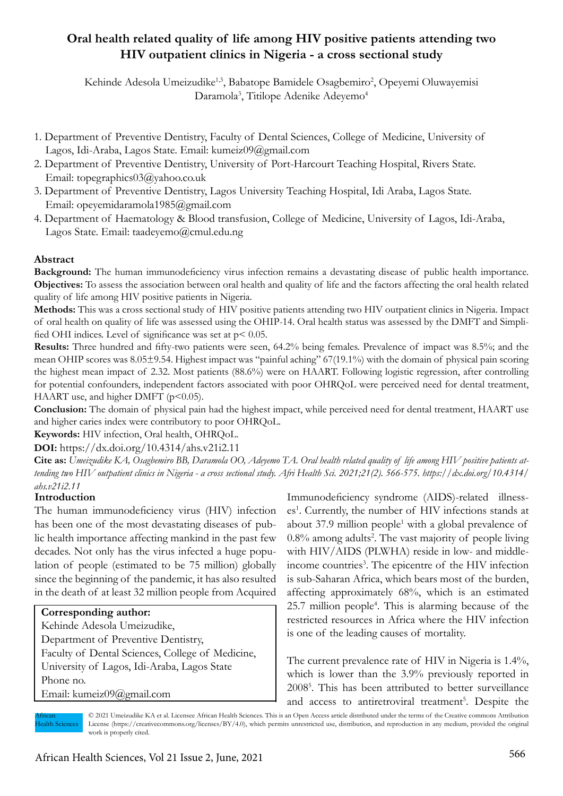# **Oral health related quality of life among HIV positive patients attending two HIV outpatient clinics in Nigeria - a cross sectional study**

Kehinde Adesola Umeizudike<sup>1,3</sup>, Babatope Bamidele Osagbemiro<sup>2</sup>, Opeyemi Oluwayemisi Daramola<sup>3</sup>, Titilope Adenike Adeyemo<sup>4</sup>

- 1. Department of Preventive Dentistry, Faculty of Dental Sciences, College of Medicine, University of Lagos, Idi-Araba, Lagos State. Email: kumeiz09@gmail.com
- 2. Department of Preventive Dentistry, University of Port-Harcourt Teaching Hospital, Rivers State. Email: topegraphics03@yahoo.co.uk
- 3. Department of Preventive Dentistry, Lagos University Teaching Hospital, Idi Araba, Lagos State. Email: opeyemidaramola1985@gmail.com
- 4. Department of Haematology & Blood transfusion, College of Medicine, University of Lagos, Idi-Araba, Lagos State. Email: taadeyemo@cmul.edu.ng

# **Abstract**

**Background:** The human immunodeficiency virus infection remains a devastating disease of public health importance. **Objectives:** To assess the association between oral health and quality of life and the factors affecting the oral health related quality of life among HIV positive patients in Nigeria.

**Methods:** This was a cross sectional study of HIV positive patients attending two HIV outpatient clinics in Nigeria. Impact of oral health on quality of life was assessed using the OHIP-14. Oral health status was assessed by the DMFT and Simplified OHI indices. Level of significance was set at  $p < 0.05$ .

**Results:** Three hundred and fifty-two patients were seen, 64.2% being females. Prevalence of impact was 8.5%; and the mean OHIP scores was 8.05±9.54. Highest impact was "painful aching" 67(19.1%) with the domain of physical pain scoring the highest mean impact of 2.32. Most patients (88.6%) were on HAART. Following logistic regression, after controlling for potential confounders, independent factors associated with poor OHRQoL were perceived need for dental treatment, HAART use, and higher DMFT ( $p$ <0.05).

**Conclusion:** The domain of physical pain had the highest impact, while perceived need for dental treatment, HAART use and higher caries index were contributory to poor OHRQoL.

**Keywords:** HIV infection, Oral health, OHRQoL.

**DOI:** https://dx.doi.org/10.4314/ahs.v21i2.11

**Cite as:** *Umeizudike KA, Osagbemiro BB, Daramola OO, Adeyemo TA. Oral health related quality of life among HIV positive patients attending two HIV outpatient clinics in Nigeria - a cross sectional study. Afri Health Sci. 2021;21(2). 566-575. https://dx.doi.org/10.4314/ ahs.v21i2.11*

## **Introduction**

The human immunodeficiency virus (HIV) infection has been one of the most devastating diseases of public health importance affecting mankind in the past few decades. Not only has the virus infected a huge population of people (estimated to be 75 million) globally since the beginning of the pandemic, it has also resulted in the death of at least 32 million people from Acquired

# **Corresponding author:**

Kehinde Adesola Umeizudike, Department of Preventive Dentistry, Faculty of Dental Sciences, College of Medicine, University of Lagos, Idi-Araba, Lagos State Phone no. Email: kumeiz09@gmail.com

Immunodeficiency syndrome (AIDS)-related illnesses<sup>1</sup>. Currently, the number of HIV infections stands at about 37.9 million people<sup>1</sup> with a global prevalence of 0.8% among adults<sup>2</sup>. The vast majority of people living with HIV/AIDS (PLWHA) reside in low- and middleincome countries<sup>3</sup>. The epicentre of the HIV infection is sub-Saharan Africa, which bears most of the burden, affecting approximately 68%, which is an estimated 25.7 million people<sup>4</sup>. This is alarming because of the restricted resources in Africa where the HIV infection is one of the leading causes of mortality.

The current prevalence rate of HIV in Nigeria is 1.4%, which is lower than the 3.9% previously reported in 20085 . This has been attributed to better surveillance and access to antiretroviral treatment<sup>5</sup>. Despite the

African Health Sciences

© 2021 Umeizudike KA et al. Licensee African Health Sciences. This is an Open Access article distributed under the terms of the Creative commons Attribution License (https://creativecommons.org/licenses/BY/4.0), which permits unrestricted use, distribution, and reproduction in any medium, provided the original work is properly cited.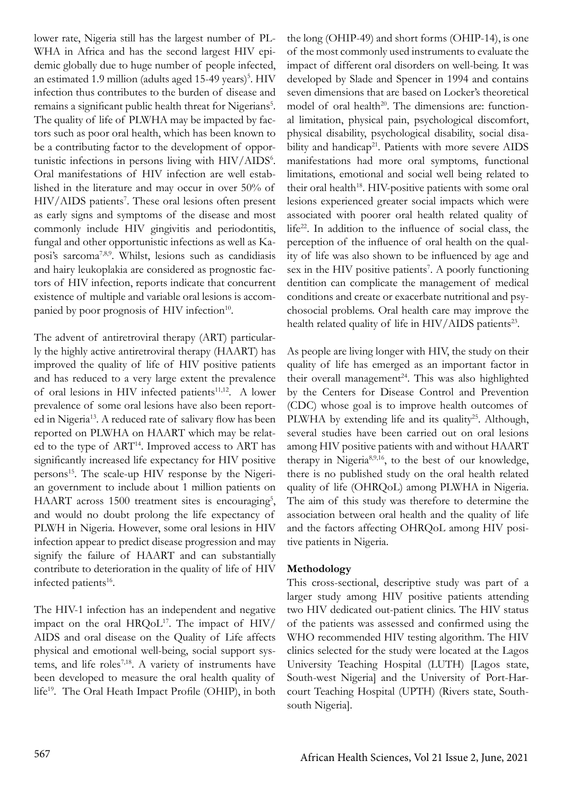lower rate, Nigeria still has the largest number of PL-WHA in Africa and has the second largest HIV epidemic globally due to huge number of people infected, an estimated 1.9 million (adults aged 15-49 years)<sup>5</sup>. HIV infection thus contributes to the burden of disease and remains a significant public health threat for Nigerians<sup>5</sup>. The quality of life of PLWHA may be impacted by factors such as poor oral health, which has been known to be a contributing factor to the development of opportunistic infections in persons living with HIV/AIDS<sup>6</sup>. Oral manifestations of HIV infection are well established in the literature and may occur in over 50% of HIV/AIDS patients<sup>7</sup>. These oral lesions often present as early signs and symptoms of the disease and most commonly include HIV gingivitis and periodontitis, fungal and other opportunistic infections as well as Kaposi's sarcoma7,8,9. Whilst, lesions such as candidiasis and hairy leukoplakia are considered as prognostic factors of HIV infection, reports indicate that concurrent existence of multiple and variable oral lesions is accompanied by poor prognosis of HIV infection<sup>10</sup>.

The advent of antiretroviral therapy (ART) particularly the highly active antiretroviral therapy (HAART) has improved the quality of life of HIV positive patients and has reduced to a very large extent the prevalence of oral lesions in HIV infected patients $11,12$ . A lower prevalence of some oral lesions have also been reported in Nigeria<sup>13</sup>. A reduced rate of salivary flow has been reported on PLWHA on HAART which may be related to the type of ART14. Improved access to ART has significantly increased life expectancy for HIV positive persons15. The scale-up HIV response by the Nigerian government to include about 1 million patients on HAART across 1500 treatment sites is encouraging<sup>5</sup>, and would no doubt prolong the life expectancy of PLWH in Nigeria. However, some oral lesions in HIV infection appear to predict disease progression and may signify the failure of HAART and can substantially contribute to deterioration in the quality of life of HIV infected patients<sup>16</sup>.

The HIV-1 infection has an independent and negative impact on the oral  $HRQoL^{17}$ . The impact of  $HIV/$ AIDS and oral disease on the Quality of Life affects physical and emotional well-being, social support systems, and life roles<sup>7,18</sup>. A variety of instruments have been developed to measure the oral health quality of life<sup>19</sup>. The Oral Heath Impact Profile (OHIP), in both

the long (OHIP-49) and short forms (OHIP-14), is one of the most commonly used instruments to evaluate the impact of different oral disorders on well-being. It was developed by Slade and Spencer in 1994 and contains seven dimensions that are based on Locker's theoretical model of oral health<sup>20</sup>. The dimensions are: functional limitation, physical pain, psychological discomfort, physical disability, psychological disability, social disability and handicap<sup>21</sup>. Patients with more severe AIDS manifestations had more oral symptoms, functional limitations, emotional and social well being related to their oral health<sup>18</sup>. HIV-positive patients with some oral lesions experienced greater social impacts which were associated with poorer oral health related quality of life<sup>22</sup>. In addition to the influence of social class, the perception of the influence of oral health on the quality of life was also shown to be influenced by age and sex in the HIV positive patients<sup>7</sup>. A poorly functioning dentition can complicate the management of medical conditions and create or exacerbate nutritional and psychosocial problems. Oral health care may improve the health related quality of life in HIV/AIDS patients<sup>23</sup>.

As people are living longer with HIV, the study on their quality of life has emerged as an important factor in their overall management<sup>24</sup>. This was also highlighted by the Centers for Disease Control and Prevention (CDC) whose goal is to improve health outcomes of PLWHA by extending life and its quality<sup>25</sup>. Although, several studies have been carried out on oral lesions among HIV positive patients with and without HAART therapy in Nigeria8,9,16, to the best of our knowledge, there is no published study on the oral health related quality of life (OHRQoL) among PLWHA in Nigeria. The aim of this study was therefore to determine the association between oral health and the quality of life and the factors affecting OHRQoL among HIV positive patients in Nigeria.

# **Methodology**

This cross-sectional, descriptive study was part of a larger study among HIV positive patients attending two HIV dedicated out-patient clinics. The HIV status of the patients was assessed and confirmed using the WHO recommended HIV testing algorithm. The HIV clinics selected for the study were located at the Lagos University Teaching Hospital (LUTH) [Lagos state, South-west Nigeria] and the University of Port-Harcourt Teaching Hospital (UPTH) (Rivers state, Southsouth Nigeria].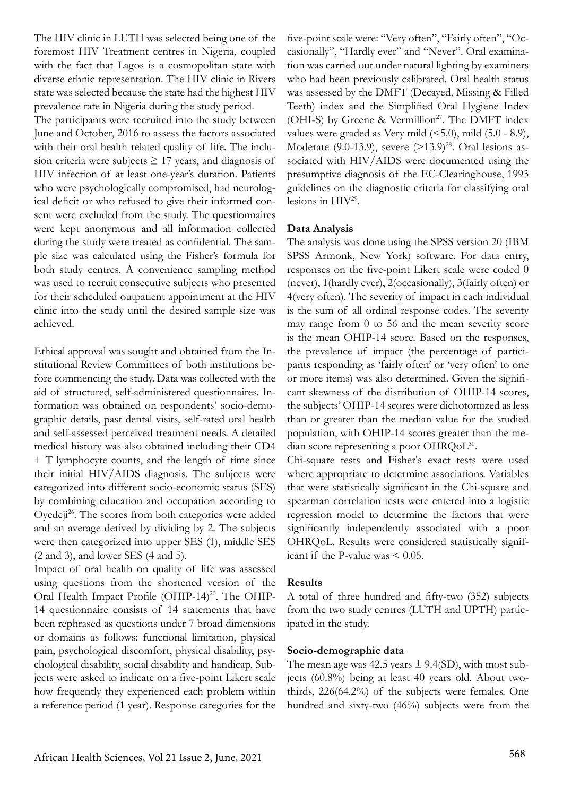The HIV clinic in LUTH was selected being one of the foremost HIV Treatment centres in Nigeria, coupled with the fact that Lagos is a cosmopolitan state with diverse ethnic representation. The HIV clinic in Rivers state was selected because the state had the highest HIV prevalence rate in Nigeria during the study period.

The participants were recruited into the study between June and October, 2016 to assess the factors associated with their oral health related quality of life. The inclusion criteria were subjects  $\geq$  17 years, and diagnosis of HIV infection of at least one-year's duration. Patients who were psychologically compromised, had neurological deficit or who refused to give their informed consent were excluded from the study. The questionnaires were kept anonymous and all information collected during the study were treated as confidential. The sample size was calculated using the Fisher's formula for both study centres. A convenience sampling method was used to recruit consecutive subjects who presented for their scheduled outpatient appointment at the HIV clinic into the study until the desired sample size was achieved.

Ethical approval was sought and obtained from the Institutional Review Committees of both institutions before commencing the study. Data was collected with the aid of structured, self-administered questionnaires. Information was obtained on respondents' socio-demographic details, past dental visits, self-rated oral health and self-assessed perceived treatment needs. A detailed medical history was also obtained including their CD4 + T lymphocyte counts, and the length of time since their initial HIV/AIDS diagnosis. The subjects were categorized into different socio-economic status (SES) by combining education and occupation according to Oyedeji<sup>26</sup>. The scores from both categories were added and an average derived by dividing by 2. The subjects were then categorized into upper SES (1), middle SES (2 and 3), and lower SES (4 and 5).

Impact of oral health on quality of life was assessed using questions from the shortened version of the Oral Health Impact Profile (OHIP-14)<sup>20</sup>. The OHIP-14 questionnaire consists of 14 statements that have been rephrased as questions under 7 broad dimensions or domains as follows: functional limitation, physical pain, psychological discomfort, physical disability, psychological disability, social disability and handicap. Subjects were asked to indicate on a five-point Likert scale how frequently they experienced each problem within a reference period (1 year). Response categories for the

five-point scale were: "Very often", "Fairly often", "Occasionally", "Hardly ever" and "Never". Oral examination was carried out under natural lighting by examiners who had been previously calibrated. Oral health status was assessed by the DMFT (Decayed, Missing & Filled Teeth) index and the Simplified Oral Hygiene Index (OHI-S) by Greene & Vermillion<sup>27</sup>. The DMFT index values were graded as Very mild  $(5.0)$ , mild  $(5.0 - 8.9)$ , Moderate (9.0-13.9), severe  $(>13.9)^{28}$ . Oral lesions associated with HIV/AIDS were documented using the presumptive diagnosis of the EC-Clearinghouse, 1993 guidelines on the diagnostic criteria for classifying oral lesions in HIV29.

## **Data Analysis**

The analysis was done using the SPSS version 20 (IBM SPSS Armonk, New York) software. For data entry, responses on the five-point Likert scale were coded 0 (never), 1(hardly ever), 2(occasionally), 3(fairly often) or 4(very often). The severity of impact in each individual is the sum of all ordinal response codes. The severity may range from 0 to 56 and the mean severity score is the mean OHIP-14 score. Based on the responses, the prevalence of impact (the percentage of participants responding as 'fairly often' or 'very often' to one or more items) was also determined. Given the significant skewness of the distribution of OHIP-14 scores, the subjects' OHIP-14 scores were dichotomized as less than or greater than the median value for the studied population, with OHIP-14 scores greater than the median score representing a poor OHRQoL30.

Chi-square tests and Fisher's exact tests were used where appropriate to determine associations. Variables that were statistically significant in the Chi-square and spearman correlation tests were entered into a logistic regression model to determine the factors that were significantly independently associated with a poor OHRQoL. Results were considered statistically significant if the P-value was  $\leq 0.05$ .

## **Results**

A total of three hundred and fifty-two (352) subjects from the two study centres (LUTH and UPTH) participated in the study.

## **Socio-demographic data**

The mean age was 42.5 years  $\pm$  9.4(SD), with most subjects (60.8%) being at least 40 years old. About twothirds, 226(64.2%) of the subjects were females. One hundred and sixty-two (46%) subjects were from the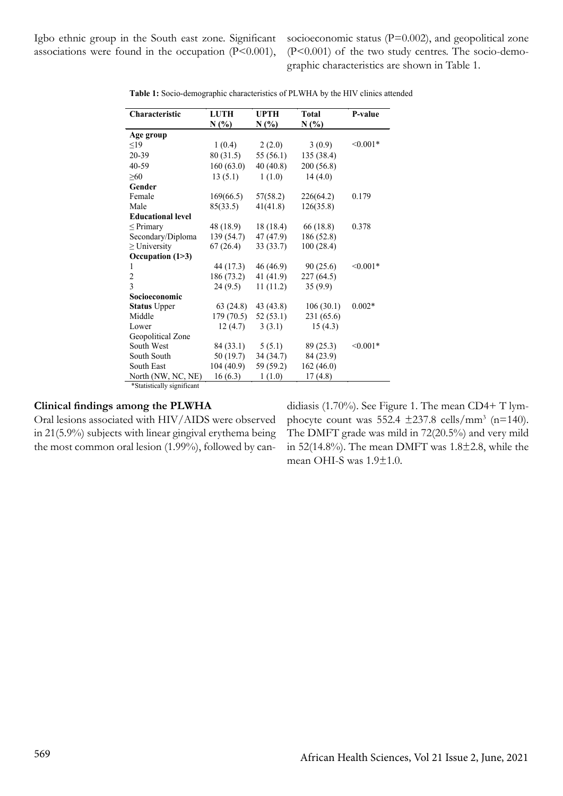Igbo ethnic group in the South east zone. Significant associations were found in the occupation  $(P<0.001)$ , socioeconomic status (P=0.002), and geopolitical zone (P<0.001) of the two study centres. The socio-demographic characteristics are shown in Table 1.

| Characteristic             | <b>LUTH</b> | <b>UPTH</b> | <b>Total</b> | P-value    |
|----------------------------|-------------|-------------|--------------|------------|
|                            | N(%)        | $N(\%)$     | N(%)         |            |
| Age group                  |             |             |              |            |
| $\leq$ 19                  | 1(0.4)      | 2(2.0)      | 3(0.9)       | $< 0.001*$ |
| 20-39                      | 80(31.5)    | 55 (56.1)   | 135 (38.4)   |            |
| 40-59                      | 160(63.0)   | 40(40.8)    | 200 (56.8)   |            |
| $\geq 60$                  | 13(5.1)     | 1(1.0)      | 14(4.0)      |            |
| Gender                     |             |             |              |            |
| Female                     | 169(66.5)   | 57(58.2)    | 226(64.2)    | 0.179      |
| Male                       | 85(33.5)    | 41(41.8)    | 126(35.8)    |            |
| <b>Educational level</b>   |             |             |              |            |
| $\leq$ Primary             | 48 (18.9)   | 18 (18.4)   | 66 (18.8)    | 0.378      |
| Secondary/Diploma          | 139 (54.7)  | 47 (47.9)   | 186 (52.8)   |            |
| $\geq$ University          | 67(26.4)    | 33 (33.7)   | 100(28.4)    |            |
| Occupation (1>3)           |             |             |              |            |
| 1                          | 44 (17.3)   | 46 (46.9)   | 90 (25.6)    | $< 0.001*$ |
| $\overline{c}$             | 186 (73.2)  | 41 $(41.9)$ | 227(64.5)    |            |
| $\overline{3}$             | 24(9.5)     | 11(11.2)    | 35(9.9)      |            |
| Socioeconomic              |             |             |              |            |
| <b>Status Upper</b>        | 63(24.8)    | 43 (43.8)   | 106(30.1)    | $0.002*$   |
| Middle                     | 179(70.5)   | 52(53.1)    | 231 (65.6)   |            |
| Lower                      | 12(4.7)     | 3(3.1)      | 15(4.3)      |            |
| Geopolitical Zone          |             |             |              |            |
| South West                 | 84 (33.1)   | 5(5.1)      | 89 (25.3)    | $< 0.001*$ |
| South South                | 50 (19.7)   | 34(34.7)    | 84 (23.9)    |            |
| South East                 | 104 (40.9)  | 59 (59.2)   | 162 (46.0)   |            |
| North (NW, NC, NE)         | 16(6.3)     | 1(1.0)      | 17(4.8)      |            |
| *Statistically significant |             |             |              |            |

**Table 1:** Socio-demographic characteristics of PLWHA by the HIV clinics attended

**Clinical findings among the PLWHA**

Oral lesions associated with HIV/AIDS were observed in 21(5.9%) subjects with linear gingival erythema being the most common oral lesion (1.99%), followed by candidiasis (1.70%). See Figure 1. The mean CD4+ T lymphocyte count was  $552.4 \pm 237.8 \text{ cells/mm}^3 \text{ (n=140)}.$ The DMFT grade was mild in 72(20.5%) and very mild in 52(14.8%). The mean DMFT was  $1.8\pm2.8$ , while the mean OHI-S was 1.9±1.0.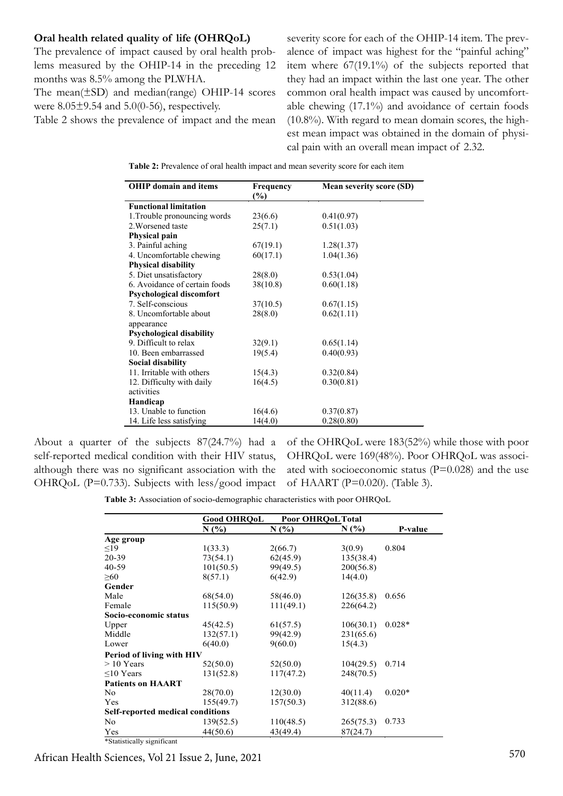## **Oral health related quality of life (OHRQoL)**

The prevalence of impact caused by oral health problems measured by the OHIP-14 in the preceding 12 months was 8.5% among the PLWHA.

The mean(±SD) and median(range) OHIP-14 scores were 8.05±9.54 and 5.0(0-56), respectively.

Table 2 shows the prevalence of impact and the mean

severity score for each of the OHIP-14 item. The prevalence of impact was highest for the "painful aching" item where 67(19.1%) of the subjects reported that they had an impact within the last one year. The other common oral health impact was caused by uncomfortable chewing (17.1%) and avoidance of certain foods (10.8%). With regard to mean domain scores, the highest mean impact was obtained in the domain of physical pain with an overall mean impact of 2.32.

| <b>OHIP</b> domain and items    | Frequency<br>$(\%)$ | <b>Mean severity score (SD)</b> |
|---------------------------------|---------------------|---------------------------------|
| <b>Functional limitation</b>    |                     |                                 |
| 1. Trouble pronouncing words    | 23(6.6)             | 0.41(0.97)                      |
| 2. Worsened taste               | 25(7.1)             | 0.51(1.03)                      |
| Physical pain                   |                     |                                 |
| 3. Painful aching               | 67(19.1)            | 1.28(1.37)                      |
| 4. Uncomfortable chewing        | 60(17.1)            | 1.04(1.36)                      |
| <b>Physical disability</b>      |                     |                                 |
| 5. Diet unsatisfactory          | 28(8.0)             | 0.53(1.04)                      |
| 6. Avoidance of certain foods   | 38(10.8)            | 0.60(1.18)                      |
| <b>Psychological discomfort</b> |                     |                                 |
| 7. Self-conscious               | 37(10.5)            | 0.67(1.15)                      |
| 8. Uncomfortable about          | 28(8.0)             | 0.62(1.11)                      |
| appearance                      |                     |                                 |
| <b>Psychological disability</b> |                     |                                 |
| 9. Difficult to relax           | 32(9.1)             | 0.65(1.14)                      |
| 10. Been embarrassed            | 19(5.4)             | 0.40(0.93)                      |
| Social disability               |                     |                                 |
| 11. Irritable with others       | 15(4.3)             | 0.32(0.84)                      |
| 12. Difficulty with daily       | 16(4.5)             | 0.30(0.81)                      |
| activities                      |                     |                                 |
| Handicap                        |                     |                                 |
| 13. Unable to function          | 16(4.6)             | 0.37(0.87)                      |
| 14. Life less satisfying        | 14(4.0)             | 0.28(0.80)                      |

**Table 2:** Prevalence of oral health impact and mean severity score for each item

About a quarter of the subjects 87(24.7%) had a self-reported medical condition with their HIV status, although there was no significant association with the OHRQoL (P=0.733). Subjects with less/good impact

of the OHRQoL were 183(52%) while those with poor OHRQoL were 169(48%). Poor OHRQoL was associated with socioeconomic status ( $P=0.028$ ) and the use of HAART (P=0.020). (Table 3).

**Table 3:** Association of socio-demographic characteristics with poor OHRQoL

|                                         | <b>Good OHROoL</b> | Poor OHRQoL Total |           |          |
|-----------------------------------------|--------------------|-------------------|-----------|----------|
|                                         | N(%)               | N(%)              | N(%       | P-value  |
| Age group                               |                    |                   |           |          |
| $\leq$ 19                               | 1(33.3)            | 2(66.7)           | 3(0.9)    | 0.804    |
| 20-39                                   | 73(54.1)           | 62(45.9)          | 135(38.4) |          |
| 40-59                                   | 101(50.5)          | 99(49.5)          | 200(56.8) |          |
| $\geq 60$                               | 8(57.1)            | 6(42.9)           | 14(4.0)   |          |
| Gender                                  |                    |                   |           |          |
| Male                                    | 68(54.0)           | 58(46.0)          | 126(35.8) | 0.656    |
| Female                                  | 115(50.9)          | 111(49.1)         | 226(64.2) |          |
| Socio-economic status                   |                    |                   |           |          |
| Upper                                   | 45(42.5)           | 61(57.5)          | 106(30.1) | $0.028*$ |
| Middle                                  | 132(57.1)          | 99(42.9)          | 231(65.6) |          |
| Lower                                   | 6(40.0)            | 9(60.0)           | 15(4.3)   |          |
| <b>Period of living with HIV</b>        |                    |                   |           |          |
| $> 10$ Years                            | 52(50.0)           | 52(50.0)          | 104(29.5) | 0.714    |
| $\leq 10$ Years                         | 131(52.8)          | 117(47.2)         | 248(70.5) |          |
| <b>Patients on HAART</b>                |                    |                   |           |          |
| No                                      | 28(70.0)           | 12(30.0)          | 40(11.4)  | $0.020*$ |
| Yes                                     | 155(49.7)          | 157(50.3)         | 312(88.6) |          |
| <b>Self-reported medical conditions</b> |                    |                   |           |          |
| No                                      | 139(52.5)          | 110(48.5)         | 265(75.3) | 0.733    |
| Yes                                     | 44(50.6)           | 43(49.4)          | 87(24.7)  |          |
| *Statistically significant              |                    |                   |           |          |

570 African Health Sciences, Vol 21 Issue 2, June, 2021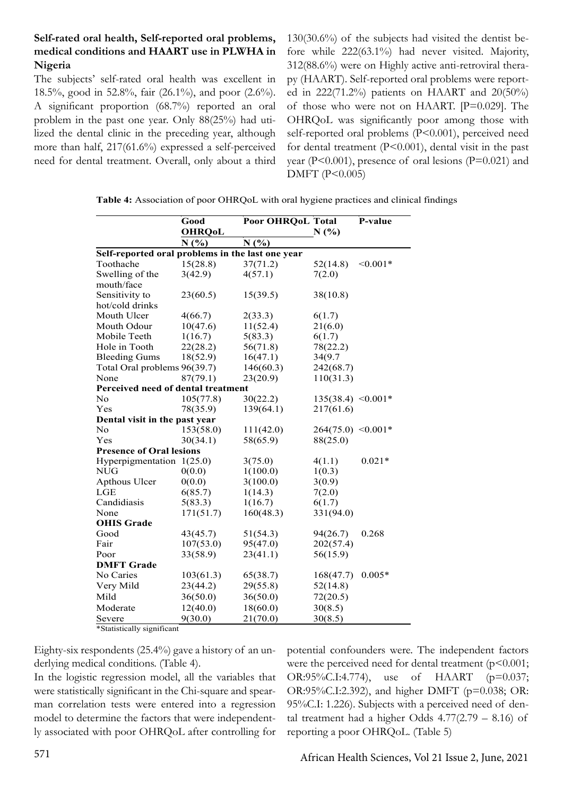# **Self-rated oral health, Self-reported oral problems, medical conditions and HAART use in PLWHA in Nigeria**

The subjects' self-rated oral health was excellent in 18.5%, good in 52.8%, fair (26.1%), and poor (2.6%). A significant proportion (68.7%) reported an oral problem in the past one year. Only 88(25%) had utilized the dental clinic in the preceding year, although more than half, 217(61.6%) expressed a self-perceived need for dental treatment. Overall, only about a third 130(30.6%) of the subjects had visited the dentist before while 222(63.1%) had never visited. Majority, 312(88.6%) were on Highly active anti-retroviral therapy (HAART). Self-reported oral problems were reported in 222(71.2%) patients on HAART and 20(50%) of those who were not on HAART. [P=0.029]. The OHRQoL was significantly poor among those with self-reported oral problems (P<0.001), perceived need for dental treatment (P<0.001), dental visit in the past year ( $P<0.001$ ), presence of oral lesions ( $P=0.021$ ) and DMFT (P<0.005)

**Table 4:** Association of poor OHRQoL with oral hygiene practices and clinical findings

|                                                  | Good          | Poor OHRQoL Total |                      | P-value    |  |  |
|--------------------------------------------------|---------------|-------------------|----------------------|------------|--|--|
|                                                  | <b>OHRQoL</b> |                   | N(%)                 |            |  |  |
|                                                  | N(%)          | N(%)              |                      |            |  |  |
| Self-reported oral problems in the last one year |               |                   |                      |            |  |  |
| Toothache                                        | 15(28.8)      | 37(71.2)          | 52(14.8)             | $< 0.001*$ |  |  |
| Swelling of the                                  | 3(42.9)       | 4(57.1)           | 7(2.0)               |            |  |  |
| mouth/face                                       |               |                   |                      |            |  |  |
| Sensitivity to                                   | 23(60.5)      | 15(39.5)          | 38(10.8)             |            |  |  |
| hot/cold drinks                                  |               |                   |                      |            |  |  |
| Mouth Ulcer                                      | 4(66.7)       | 2(33.3)           | 6(1.7)               |            |  |  |
| Mouth Odour                                      | 10(47.6)      | 11(52.4)          | 21(6.0)              |            |  |  |
| Mobile Teeth                                     | 1(16.7)       | 5(83.3)           | 6(1.7)               |            |  |  |
| Hole in Tooth                                    | 22(28.2)      | 56(71.8)          | 78(22.2)             |            |  |  |
| <b>Bleeding Gums</b>                             | 18(52.9)      | 16(47.1)          | 34(9.7)              |            |  |  |
| Total Oral problems 96(39.7)                     |               | 146(60.3)         | 242(68.7)            |            |  |  |
| None                                             | 87(79.1)      | 23(20.9)          | 110(31.3)            |            |  |  |
| Perceived need of dental treatment               |               |                   |                      |            |  |  |
| N <sub>0</sub>                                   | 105(77.8)     | 30(22.2)          | $135(38.4)$ < 0.001* |            |  |  |
| Yes                                              | 78(35.9)      | 139(64.1)         | 217(61.6)            |            |  |  |
| Dental visit in the past year                    |               |                   |                      |            |  |  |
| No                                               | 153(58.0)     | 111(42.0)         | $264(75.0)$ < 0.001* |            |  |  |
| Yes                                              | 30(34.1)      | 58(65.9)          | 88(25.0)             |            |  |  |
| <b>Presence of Oral lesions</b>                  |               |                   |                      |            |  |  |
| Hyperpigmentation $1(25.0)$                      |               | 3(75.0)           | 4(1.1)               | $0.021*$   |  |  |
| <b>NUG</b>                                       | 0(0.0)        | 1(100.0)          | 1(0.3)               |            |  |  |
| Apthous Ulcer                                    | 0(0.0)        | 3(100.0)          | 3(0.9)               |            |  |  |
| LGE                                              | 6(85.7)       | 1(14.3)           | 7(2.0)               |            |  |  |
| Candidiasis                                      | 5(83.3)       | 1(16.7)           | 6(1.7)               |            |  |  |
| None                                             | 171(51.7)     | 160(48.3)         | 331(94.0)            |            |  |  |
| <b>OHIS Grade</b>                                |               |                   |                      |            |  |  |
| Good                                             | 43(45.7)      | 51(54.3)          | 94(26.7)             | 0.268      |  |  |
| Fair                                             | 107(53.0)     | 95(47.0)          | 202(57.4)            |            |  |  |
| Poor                                             | 33(58.9)      | 23(41.1)          | 56(15.9)             |            |  |  |
| <b>DMFT</b> Grade                                |               |                   |                      |            |  |  |
| No Caries                                        | 103(61.3)     | 65(38.7)          | 168(47.7)            | $0.005*$   |  |  |
| Very Mild                                        | 23(44.2)      | 29(55.8)          | 52(14.8)             |            |  |  |
| Mild                                             | 36(50.0)      | 36(50.0)          | 72(20.5)             |            |  |  |
| Moderate                                         | 12(40.0)      | 18(60.0)          | 30(8.5)              |            |  |  |
| Severe                                           | 9(30.0)       | 21(70.0)          | 30(8.5)              |            |  |  |

\*Statistically significant

Eighty-six respondents (25.4%) gave a history of an underlying medical conditions. (Table 4).

In the logistic regression model, all the variables that were statistically significant in the Chi-square and spearman correlation tests were entered into a regression model to determine the factors that were independently associated with poor OHRQoL after controlling for potential confounders were. The independent factors were the perceived need for dental treatment  $(p<0.001;$ OR:95%C.I:4.774), use of HAART (p=0.037; OR:95%C.I:2.392), and higher DMFT (p=0.038; OR: 95%C.I: 1.226). Subjects with a perceived need of dental treatment had a higher Odds  $4.77(2.79 - 8.16)$  of reporting a poor OHRQoL. (Table 5)

571 African Health Sciences, Vol 21 Issue 2, June, 2021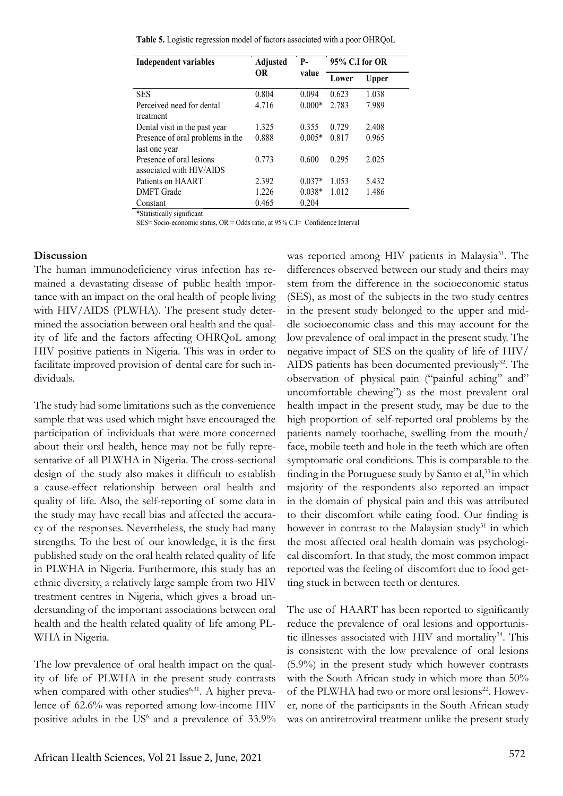**Table 5.** Logistic regression model of factors associated with a poor OHRQoL

| <b>Independent variables</b>                         | Adjusted<br>0R | P-<br>value | 95% C.I for OR |              |
|------------------------------------------------------|----------------|-------------|----------------|--------------|
|                                                      |                |             | Lower          | <b>Upper</b> |
| <b>SES</b>                                           | 0.804          | 0.094       | 0.623          | 1.038        |
| Perceived need for dental<br>treatment               | 4.716          | $0.000*$    | 2.783          | 7.989        |
| Dental visit in the past year                        | 1.325          | 0.355       | 0.729          | 2.408        |
| Presence of oral problems in the<br>last one year    | 0.888          | $0.005*$    | 0.817          | 0.965        |
| Presence of oral lesions<br>associated with HIV/AIDS | 0.773          | 0.600       | 0.295          | 2.025        |
| Patients on HAART                                    | 2.392          | $0.037*$    | 1.053          | 5.432        |
| <b>DMFT</b> Grade                                    | 1.226          | $0.038*$    | 1.012          | 1.486        |
| Constant                                             | 0.465          | 0.204       |                |              |

\*Statistically significant

SES= Socio-economic status, OR = Odds ratio, at 95% C.I= Confidence Interval

#### **Discussion**

The human immunodeficiency virus infection has remained a devastating disease of public health importance with an impact on the oral health of people living with HIV/AIDS (PLWHA). The present study determined the association between oral health and the quality of life and the factors affecting OHRQoL among HIV positive patients in Nigeria. This was in order to facilitate improved provision of dental care for such individuals.

The study had some limitations such as the convenience sample that was used which might have encouraged the participation of individuals that were more concerned about their oral health, hence may not be fully representative of all PLWHA in Nigeria. The cross-sectional design of the study also makes it difficult to establish a cause-effect relationship between oral health and quality of life. Also, the self-reporting of some data in the study may have recall bias and affected the accuracy of the responses. Nevertheless, the study had many strengths. To the best of our knowledge, it is the first published study on the oral health related quality of life in PLWHA in Nigeria. Furthermore, this study has an ethnic diversity, a relatively large sample from two HIV treatment centres in Nigeria, which gives a broad understanding of the important associations between oral health and the health related quality of life among PL-WHA in Nigeria.

The low prevalence of oral health impact on the quality of life of PLWHA in the present study contrasts when compared with other studies<sup>6,31</sup>. A higher prevalence of 62.6% was reported among low-income HIV positive adults in the  $US^6$  and a prevalence of 33.9%

was reported among HIV patients in Malaysia<sup>31</sup>. The differences observed between our study and theirs may stem from the difference in the socioeconomic status (SES), as most of the subjects in the two study centres in the present study belonged to the upper and middle socioeconomic class and this may account for the low prevalence of oral impact in the present study. The negative impact of SES on the quality of life of HIV/ AIDS patients has been documented previously<sup>32</sup>. The observation of physical pain ("painful aching" and" uncomfortable chewing") as the most prevalent oral health impact in the present study, may be due to the high proportion of self-reported oral problems by the patients namely toothache, swelling from the mouth/ face, mobile teeth and hole in the teeth which are often symptomatic oral conditions. This is comparable to the finding in the Portuguese study by Santo et al,<sup>33</sup> in which majority of the respondents also reported an impact in the domain of physical pain and this was attributed to their discomfort while eating food. Our finding is however in contrast to the Malaysian study<sup>31</sup> in which the most affected oral health domain was psychological discomfort. In that study, the most common impact reported was the feeling of discomfort due to food getting stuck in between teeth or dentures.

The use of HAART has been reported to significantly reduce the prevalence of oral lesions and opportunistic illnesses associated with HIV and mortality<sup>34</sup>. This is consistent with the low prevalence of oral lesions (5.9%) in the present study which however contrasts with the South African study in which more than 50% of the PLWHA had two or more oral lesions<sup>22</sup>. However, none of the participants in the South African study was on antiretroviral treatment unlike the present study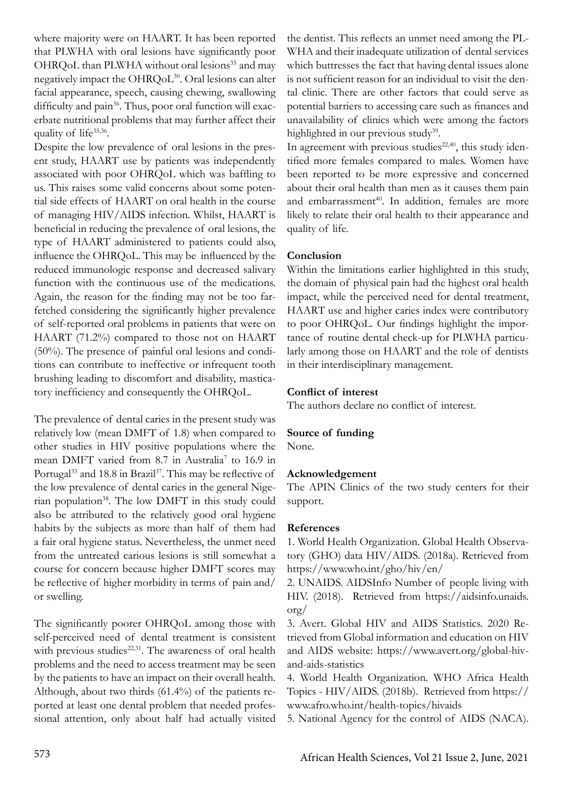where majority were on HAART. It has been reported that PLWHA with oral lesions have significantly poor OHRQoL than PLWHA without oral lesions<sup>35</sup> and may negatively impact the OHRQoL30. Oral lesions can alter facial appearance, speech, causing chewing, swallowing difficulty and pain<sup>36</sup>. Thus, poor oral function will exacerbate nutritional problems that may further affect their quality of life<sup>35,36</sup>.

Despite the low prevalence of oral lesions in the present study, HAART use by patients was independently associated with poor OHRQoL which was baffling to us. This raises some valid concerns about some potential side effects of HAART on oral health in the course of managing HIV/AIDS infection. Whilst, HAART is beneficial in reducing the prevalence of oral lesions, the type of HAART administered to patients could also, influence the OHRQoL. This may be influenced by the reduced immunologic response and decreased salivary function with the continuous use of the medications. Again, the reason for the finding may not be too farfetched considering the significantly higher prevalence of self-reported oral problems in patients that were on HAART (71.2%) compared to those not on HAART (50%). The presence of painful oral lesions and conditions can contribute to ineffective or infrequent tooth brushing leading to discomfort and disability, masticatory inefficiency and consequently the OHRQoL.

The prevalence of dental caries in the present study was relatively low (mean DMFT of 1.8) when compared to other studies in HIV positive populations where the mean DMFT varied from 8.7 in Australia<sup>7</sup> to 16.9 in Portugal<sup>33</sup> and 18.8 in Brazil<sup>37</sup>. This may be reflective of the low prevalence of dental caries in the general Nigerian population<sup>38</sup>. The low DMFT in this study could also be attributed to the relatively good oral hygiene habits by the subjects as more than half of them had a fair oral hygiene status. Nevertheless, the unmet need from the untreated carious lesions is still somewhat a course for concern because higher DMFT scores may be reflective of higher morbidity in terms of pain and/ or swelling.

The significantly poorer OHRQoL among those with self-perceived need of dental treatment is consistent with previous studies<sup>22,31</sup>. The awareness of oral health problems and the need to access treatment may be seen by the patients to have an impact on their overall health. Although, about two thirds (61.4%) of the patients reported at least one dental problem that needed professional attention, only about half had actually visited

the dentist. This reflects an unmet need among the PL-WHA and their inadequate utilization of dental services which buttresses the fact that having dental issues alone is not sufficient reason for an individual to visit the dental clinic. There are other factors that could serve as potential barriers to accessing care such as finances and unavailability of clinics which were among the factors highlighted in our previous study<sup>39</sup>.

In agreement with previous studies<sup>22,40</sup>, this study identified more females compared to males. Women have been reported to be more expressive and concerned about their oral health than men as it causes them pain and embarrassment<sup>40</sup>. In addition, females are more likely to relate their oral health to their appearance and quality of life.

# **Conclusion**

Within the limitations earlier highlighted in this study, the domain of physical pain had the highest oral health impact, while the perceived need for dental treatment, HAART use and higher caries index were contributory to poor OHRQoL. Our findings highlight the importance of routine dental check-up for PLWHA particularly among those on HAART and the role of dentists in their interdisciplinary management.

## **Conflict of interest**

The authors declare no conflict of interest.

## **Source of funding**

None.

## **Acknowledgement**

The APIN Clinics of the two study centers for their support.

## **References**

1. World Health Organization. Global Health Observatory (GHO) data HIV/AIDS. (2018a). Retrieved from https://www.who.int/gho/hiv/en/

2. UNAIDS. AIDSInfo Number of people living with HIV. (2018). Retrieved from https://aidsinfo.unaids. org/

3. Avert. Global HIV and AIDS Statistics. 2020 Retrieved from Global information and education on HIV and AIDS website: https://www.avert.org/global-hivand-aids-statistics

4. World Health Organization. WHO Africa Health Topics - HIV/AIDS. (2018b). Retrieved from https:// www.afro.who.int/health-topics/hivaids

5. National Agency for the control of AIDS (NACA).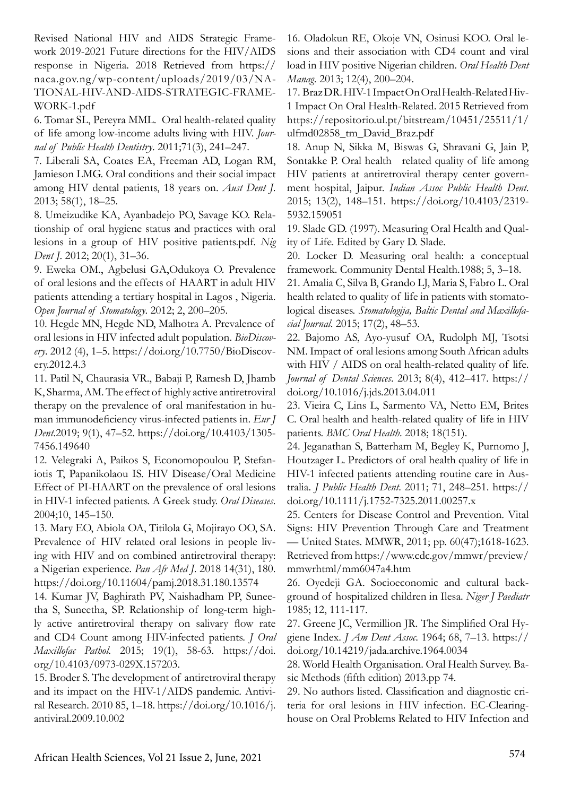Revised National HIV and AIDS Strategic Framework 2019-2021 Future directions for the HIV/AIDS response in Nigeria. 2018 Retrieved from https:// naca.gov.ng/wp-content/uploads/2019/03/NA-TIONAL-HIV-AND-AIDS-STRATEGIC-FRAME-WORK-1.pdf

6. Tomar SL, Pereyra MML. Oral health-related quality of life among low-income adults living with HIV. *Journal of Public Health Dentistry*. 2011;71(3), 241–247.

7. Liberali SA, Coates EA, Freeman AD, Logan RM, Jamieson LMG. Oral conditions and their social impact among HIV dental patients, 18 years on. *Aust Dent J*. 2013; 58(1), 18–25.

8. Umeizudike KA, Ayanbadejo PO, Savage KO. Relationship of oral hygiene status and practices with oral lesions in a group of HIV positive patients.pdf. *Nig Dent J*. 2012; 20(1), 31–36.

9. Eweka OM., Agbelusi GA,Odukoya O. Prevalence of oral lesions and the effects of HAART in adult HIV patients attending a tertiary hospital in Lagos , Nigeria. *Open Journal of Stomatology*. 2012; 2, 200–205.

10. Hegde MN, Hegde ND, Malhotra A. Prevalence of oral lesions in HIV infected adult population. *BioDiscovery*. 2012 (4), 1–5. https://doi.org/10.7750/BioDiscovery.2012.4.3

11. Patil N, Chaurasia VR., Babaji P, Ramesh D, Jhamb K, Sharma, AM. The effect of highly active antiretroviral therapy on the prevalence of oral manifestation in human immunodeficiency virus-infected patients in. *Eur J Dent*.2019; 9(1), 47–52. https://doi.org/10.4103/1305- 7456.149640

12. Velegraki A, Paikos S, Economopoulou P, Stefaniotis T, Papanikolaou IS. HIV Disease/Oral Medicine Effect of PI-HAART on the prevalence of oral lesions in HIV-1 infected patients. A Greek study. *Oral Diseases*. 2004;10, 145–150.

13. Mary EO, Abiola OA, Titilola G, Mojirayo OO, SA. Prevalence of HIV related oral lesions in people living with HIV and on combined antiretroviral therapy: a Nigerian experience. *Pan Afr Med J*. 2018 14(31), 180. https://doi.org/10.11604/pamj.2018.31.180.13574

14. Kumar JV, Baghirath PV, Naishadham PP, Suneetha S, Suneetha, SP. Relationship of long-term highly active antiretroviral therapy on salivary flow rate and CD4 Count among HIV-infected patients. *J Oral Maxillofac Pathol*. 2015; 19(1), 58-63. https://doi. org/10.4103/0973-029X.157203.

15. Broder S. The development of antiretroviral therapy and its impact on the HIV-1/AIDS pandemic. Antiviral Research. 2010 85, 1–18. https://doi.org/10.1016/j. antiviral.2009.10.002

16. Oladokun RE, Okoje VN, Osinusi KOO. Oral lesions and their association with CD4 count and viral load in HIV positive Nigerian children. *Oral Health Dent Manag*. 2013; 12(4), 200–204.

17. Braz DR. HIV-1 Impact On Oral Health-Related Hiv-1 Impact On Oral Health-Related. 2015 Retrieved from https://repositorio.ul.pt/bitstream/10451/25511/1/ ulfmd02858\_tm\_David\_Braz.pdf

18. Anup N, Sikka M, Biswas G, Shravani G, Jain P, Sontakke P. Oral health related quality of life among HIV patients at antiretroviral therapy center government hospital, Jaipur. *Indian Assoc Public Health Dent*. 2015; 13(2), 148–151. https://doi.org/10.4103/2319- 5932.159051

19. Slade GD. (1997). Measuring Oral Health and Quality of Life. Edited by Gary D. Slade.

20. Locker D. Measuring oral health: a conceptual framework. Community Dental Health.1988; 5, 3–18.

21. Amalia C, Silva B, Grando LJ, Maria S, Fabro L. Oral health related to quality of life in patients with stomatological diseases. *Stomatologija, Baltic Dental and Maxillofacial Journal*. 2015; 17(2), 48–53.

22. Bajomo AS, Ayo-yusuf OA, Rudolph MJ, Tsotsi NM. Impact of oral lesions among South African adults with HIV / AIDS on oral health-related quality of life. *Journal of Dental Sciences*. 2013; 8(4), 412–417. https:// doi.org/10.1016/j.jds.2013.04.011

23. Vieira C, Lins L, Sarmento VA, Netto EM, Brites C. Oral health and health-related quality of life in HIV patients. *BMC Oral Health*. 2018; 18(151).

24. Jeganathan S, Batterham M, Begley K, Purnomo J, Houtzager L. Predictors of oral health quality of life in HIV-1 infected patients attending routine care in Australia. *J Public Health Dent*. 2011; 71, 248–251. https:// doi.org/10.1111/j.1752-7325.2011.00257.x

25. Centers for Disease Control and Prevention. Vital Signs: HIV Prevention Through Care and Treatment — United States. MMWR, 2011; pp. 60(47);1618-1623. Retrieved from https://www.cdc.gov/mmwr/preview/ mmwrhtml/mm6047a4.htm

26. Oyedeji GA. Socioeconomic and cultural background of hospitalized children in Ilesa. *Niger J Paediatr* 1985; 12, 111-117.

27. Greene JC, Vermillion JR. The Simplified Oral Hygiene Index. *J Am Dent Assoc*. 1964; 68, 7–13. https:// doi.org/10.14219/jada.archive.1964.0034

28. World Health Organisation. Oral Health Survey. Basic Methods (fifth edition) 2013.pp 74.

29. No authors listed. Classification and diagnostic criteria for oral lesions in HIV infection. EC-Clearinghouse on Oral Problems Related to HIV Infection and